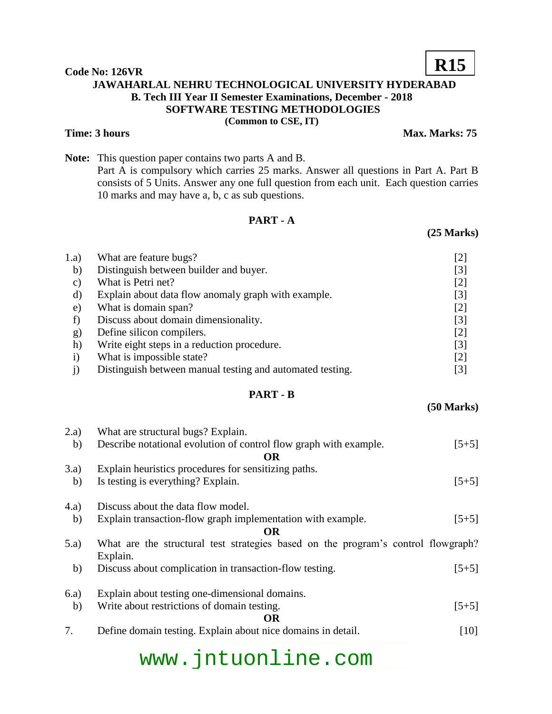#### **Code No: 126VR JAWAHARLAL NEHRU TECHNOLOGICAL UNIVERSITY HYDERABAD B. Tech III Year II Semester Examinations, December - 2018 SOFTWARE TESTING METHODOLOGIES (Common to CSE, IT)**

**Note:** This question paper contains two parts A and B. Part A is compulsory which carries 25 marks. Answer all questions in Part A. Part B consists of 5 Units. Answer any one full question from each unit. Each question carries 10 marks and may have a, b, c as sub questions.

## **PART - A**  1.a) What are feature bugs? [2] b) Distinguish between builder and buyer. [3]

| $\mathbf{C}$ | What is Petri net?                                        |                   |
|--------------|-----------------------------------------------------------|-------------------|
| d)           | Explain about data flow anomaly graph with example.       | $\lceil 3 \rceil$ |
| e)           | What is domain span?                                      | [2]               |
|              | Discuss about domain dimensionality.                      | 131               |
| g)           | Define silicon compilers.                                 |                   |
| h)           | Write eight steps in a reduction procedure.               | $\lceil 3 \rceil$ |
|              | What is impossible state?                                 | [2]               |
|              | Distinguish between manual testing and automated testing. |                   |

### **PART - B**

### 2.a) What are structural bugs? Explain. b) Describe notational evolution of control flow graph with example. [5+5] **OR** 3.a) Explain heuristics procedures for sensitizing paths. b) Is testing is everything? Explain.  $[5+5]$ 4.a) Discuss about the data flow model. b) Explain transaction-flow graph implementation with example. [5+5] **OR** 5.a) What are the structural test strategies based on the program's control flowgraph? Explain. b) Discuss about complication in transaction-flow testing. [5+5] 6.a) Explain about testing one-dimensional domains. b) Write about restrictions of domain testing. [5+5] **OR** 7. Define domain testing. Explain about nice domains in detail. [10]

## www.jntuonline.com

**(25 Marks)**

**(50 Marks)**



## **R15**